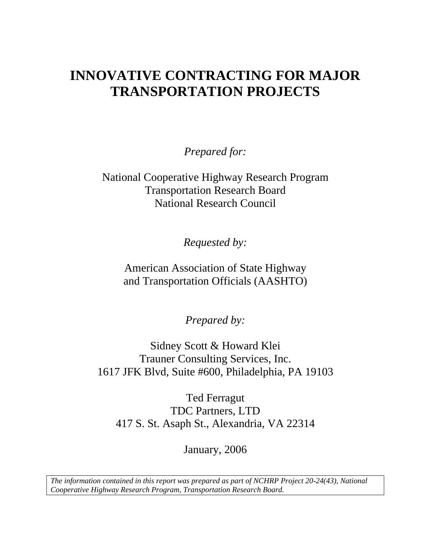# **INNOVATIVE CONTRACTING FOR MAJOR TRANSPORTATION PROJECTS**

*Prepared for:* 

National Cooperative Highway Research Program Transportation Research Board National Research Council

*Requested by:* 

American Association of State Highway and Transportation Officials (AASHTO)

*Prepared by:* 

Sidney Scott & Howard Klei Trauner Consulting Services, Inc. 1617 JFK Blvd, Suite #600, Philadelphia, PA 19103

Ted Ferragut TDC Partners, LTD 417 S. St. Asaph St., Alexandria, VA 22314

January, 2006

*The information contained in this report was prepared as part of NCHRP Project 20-24(43), National Cooperative Highway Research Program, Transportation Research Board.*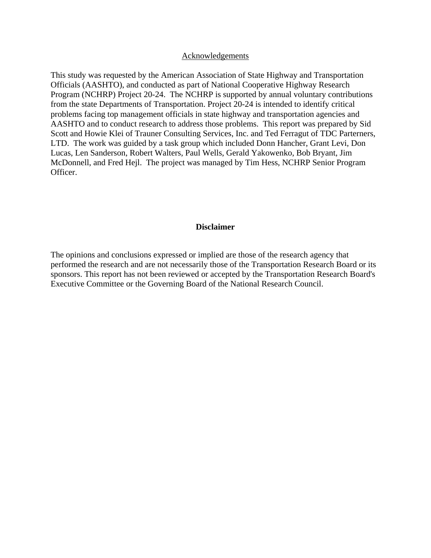#### Acknowledgements

This study was requested by the American Association of State Highway and Transportation Officials (AASHTO), and conducted as part of National Cooperative Highway Research Program (NCHRP) Project 20-24. The NCHRP is supported by annual voluntary contributions from the state Departments of Transportation. Project 20-24 is intended to identify critical problems facing top management officials in state highway and transportation agencies and AASHTO and to conduct research to address those problems. This report was prepared by Sid Scott and Howie Klei of Trauner Consulting Services, Inc. and Ted Ferragut of TDC Parterners, LTD. The work was guided by a task group which included Donn Hancher, Grant Levi, Don Lucas, Len Sanderson, Robert Walters, Paul Wells, Gerald Yakowenko, Bob Bryant, Jim McDonnell, and Fred Hejl. The project was managed by Tim Hess, NCHRP Senior Program Officer.

#### **Disclaimer**

The opinions and conclusions expressed or implied are those of the research agency that performed the research and are not necessarily those of the Transportation Research Board or its sponsors. This report has not been reviewed or accepted by the Transportation Research Board's Executive Committee or the Governing Board of the National Research Council.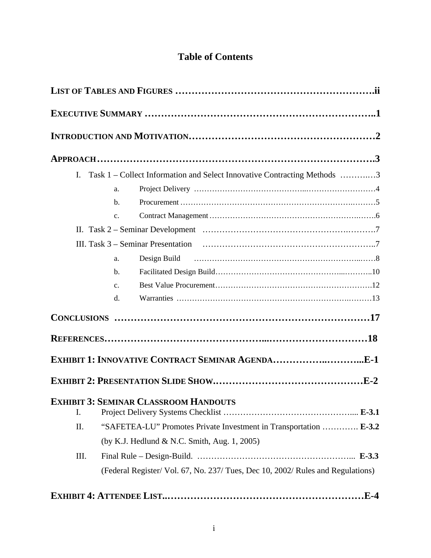# **Table of Contents**

|      |                | I. Task 1 – Collect Information and Select Innovative Contracting Methods 3     |  |
|------|----------------|---------------------------------------------------------------------------------|--|
|      | a.             |                                                                                 |  |
|      | $\mathbf{b}$ . |                                                                                 |  |
|      | $C_{\bullet}$  |                                                                                 |  |
|      |                |                                                                                 |  |
|      |                |                                                                                 |  |
|      | a.             |                                                                                 |  |
|      | b.             |                                                                                 |  |
|      | C <sub>1</sub> |                                                                                 |  |
|      | $d_{\cdot}$    |                                                                                 |  |
|      |                |                                                                                 |  |
|      |                |                                                                                 |  |
|      |                |                                                                                 |  |
|      |                |                                                                                 |  |
|      |                |                                                                                 |  |
| Ι.   |                | <b>EXHIBIT 3: SEMINAR CLASSROOM HANDOUTS</b>                                    |  |
| II.  |                | "SAFETEA-LU" Promotes Private Investment in Transportation  E-3.2               |  |
|      |                | (by K.J. Hedlund & N.C. Smith, Aug. 1, 2005)                                    |  |
| III. |                |                                                                                 |  |
|      |                | (Federal Register/ Vol. 67, No. 237/ Tues, Dec 10, 2002/ Rules and Regulations) |  |
|      |                |                                                                                 |  |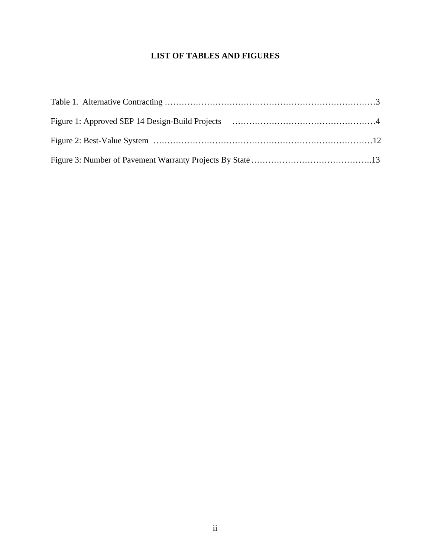## **LIST OF TABLES AND FIGURES**

<span id="page-3-0"></span>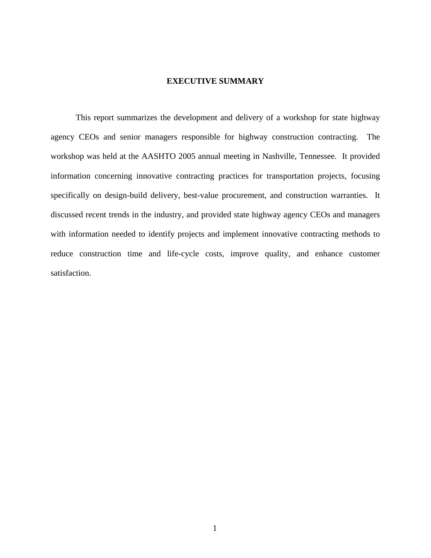#### **EXECUTIVE SUMMARY**

<span id="page-4-0"></span>This report summarizes the development and delivery of a workshop for state highway agency CEOs and senior managers responsible for highway construction contracting. The workshop was held at the AASHTO 2005 annual meeting in Nashville, Tennessee. It provided information concerning innovative contracting practices for transportation projects, focusing specifically on design-build delivery, best-value procurement, and construction warranties. It discussed recent trends in the industry, and provided state highway agency CEOs and managers with information needed to identify projects and implement innovative contracting methods to reduce construction time and life-cycle costs, improve quality, and enhance customer satisfaction.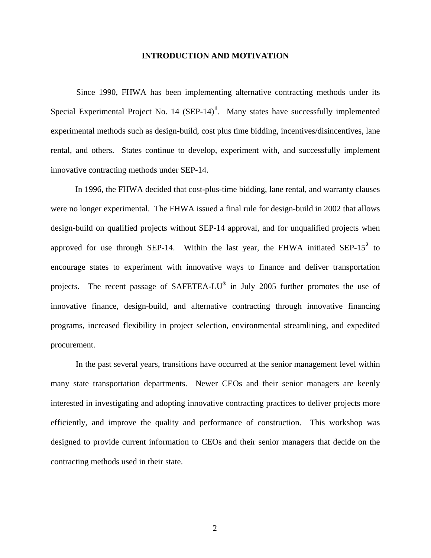#### **INTRODUCTION AND MOTIVATION**

<span id="page-5-0"></span>Since 1990, FHWA has been implementing alternative contracting methods under its Special Experimental Project No. 14 (SEP-14)**[1](#page-21-1)** . Many states have successfully implemented experimental methods such as design-build, cost plus time bidding, incentives/disincentives, lane rental, and others. States continue to develop, experiment with, and successfully implement innovative contracting methods under SEP-14.

In 1996, the FHWA decided that cost-plus-time bidding, lane rental, and warranty clauses were no longer experimental. The FHWA issued a final rule for design-build in 2002 that allows design-build on qualified projects without SEP-14 approval, and for unqualified projects when approved for use through SEP-14. Within the last year, the FHWA initiated SEP-15<sup>[2](#page-21-2)</sup> to encourage states to experiment with innovative ways to finance and deliver transportation projects. The recent passage of SAFETEA-LU**[3](#page-21-2)** in July 2005 further promotes the use of innovative finance, design-build, and alternative contracting through innovative financing programs, increased flexibility in project selection, environmental streamlining, and expedited procurement.

In the past several years, transitions have occurred at the senior management level within many state transportation departments. Newer CEOs and their senior managers are keenly interested in investigating and adopting innovative contracting practices to deliver projects more efficiently, and improve the quality and performance of construction. This workshop was designed to provide current information to CEOs and their senior managers that decide on the contracting methods used in their state.

2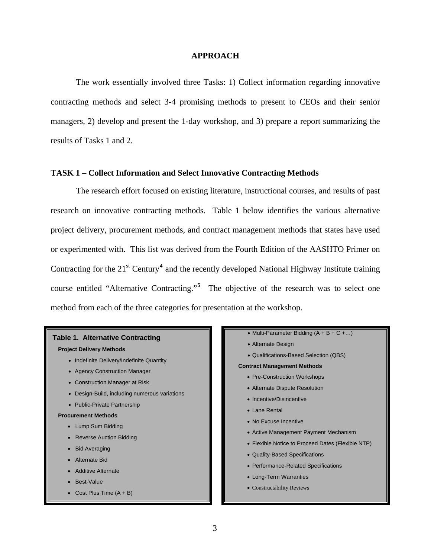#### **APPROACH**

<span id="page-6-0"></span>The work essentially involved three Tasks: 1) Collect information regarding innovative contracting methods and select 3-4 promising methods to present to CEOs and their senior managers, 2) develop and present the 1-day workshop, and 3) prepare a report summarizing the results of Tasks 1 and 2.

### **TASK 1 – Collect Information and Select Innovative Contracting Methods**

The research effort focused on existing literature, instructional courses, and results of past research on innovative contracting methods. Table 1 below identifies the various alternative project delivery, procurement methods, and contract management methods that states have used or experimented with. This list was derived from the Fourth Edition of the AASHTO Primer on Contracting for the 21<sup>st</sup> Century<sup>[4](#page-21-2)</sup> and the recently developed National Highway Institute training course entitled "Alternative Contracting."**[5](#page-21-2)** The objective of the research was to select one method from each of the three categories for presentation at the workshop.



#### **Project Delivery Methods**

- Indefinite Delivery/Indefinite Quantity
- Agency Construction Manager
- Construction Manager at Risk
- Design-Build, including numerous variations
- Public-Private Partnership

#### **Procurement Methods**

- Lump Sum Bidding
- Reverse Auction Bidding
- Bid Averaging
- Alternate Bid
- Additive Alternate
- Best-Value
- Cost Plus Time  $(A + B)$
- Multi-Parameter Bidding (A + B + C +…)
- Alternate Design
- Qualifications-Based Selection (QBS)

#### **Contract Management Methods**

- Pre-Construction Workshops
- Alternate Dispute Resolution
- Incentive/Disincentive
- Lane Rental
- No Excuse Incentive
- Active Management Payment Mechanism
- Flexible Notice to Proceed Dates (Flexible NTP)
- Quality-Based Specifications
- Performance-Related Specifications
- Long-Term Warranties
- Constructability Reviews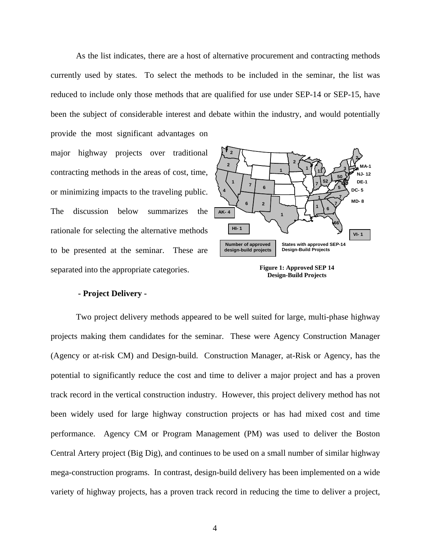<span id="page-7-0"></span>As the list indicates, there are a host of alternative procurement and contracting methods currently used by states. To select the methods to be included in the seminar, the list was reduced to include only those methods that are qualified for use under SEP-14 or SEP-15, have been the subject of considerable interest and debate within the industry, and would potentially provide the most significant advantages on

major highway projects over traditional contracting methods in the areas of cost, time, or minimizing impacts to the traveling public. The discussion below summarizes the rationale for selecting the alternative methods to be presented at the seminar. These are separated into the appropriate categories.



**Figure 1: Approved SEP 14 Design-Build Projects** 

#### **- Project Delivery -**

Two project delivery methods appeared to be well suited for large, multi-phase highway projects making them candidates for the seminar. These were Agency Construction Manager (Agency or at-risk CM) and Design-build. Construction Manager, at-Risk or Agency, has the potential to significantly reduce the cost and time to deliver a major project and has a proven track record in the vertical construction industry. However, this project delivery method has not been widely used for large highway construction projects or has had mixed cost and time performance. Agency CM or Program Management (PM) was used to deliver the Boston Central Artery project (Big Dig), and continues to be used on a small number of similar highway mega-construction programs. In contrast, design-build delivery has been implemented on a wide variety of highway projects, has a proven track record in reducing the time to deliver a project,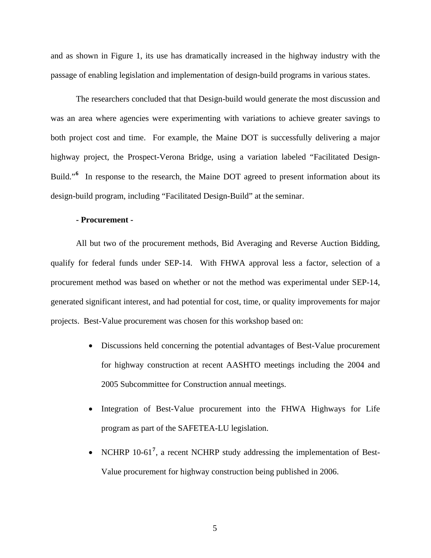<span id="page-8-0"></span>and as shown in Figure 1, its use has dramatically increased in the highway industry with the passage of enabling legislation and implementation of design-build programs in various states.

The researchers concluded that that Design-build would generate the most discussion and was an area where agencies were experimenting with variations to achieve greater savings to both project cost and time. For example, the Maine DOT is successfully delivering a major highway project, the Prospect-Verona Bridge, using a variation labeled "Facilitated Design-Build."<sup>[6](#page-21-2)</sup> In response to the research, the Maine DOT agreed to present information about its design-build program, including "Facilitated Design-Build" at the seminar.

#### **- Procurement -**

All but two of the procurement methods, Bid Averaging and Reverse Auction Bidding, qualify for federal funds under SEP-14. With FHWA approval less a factor, selection of a procurement method was based on whether or not the method was experimental under SEP-14, generated significant interest, and had potential for cost, time, or quality improvements for major projects. Best-Value procurement was chosen for this workshop based on:

- Discussions held concerning the potential advantages of Best-Value procurement for highway construction at recent AASHTO meetings including the 2004 and 2005 Subcommittee for Construction annual meetings.
- Integration of Best-Value procurement into the FHWA Highways for Life program as part of the SAFETEA-LU legislation.
- NCHRP 10-61<sup>[7](#page-21-2)</sup>, a recent NCHRP study addressing the implementation of Best-Value procurement for highway construction being published in 2006.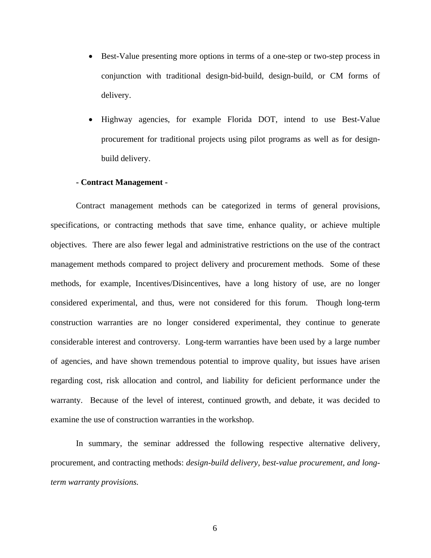- <span id="page-9-0"></span>• Best-Value presenting more options in terms of a one-step or two-step process in conjunction with traditional design-bid-build, design-build, or CM forms of delivery.
- Highway agencies, for example Florida DOT, intend to use Best-Value procurement for traditional projects using pilot programs as well as for designbuild delivery.

#### **- Contract Management -**

Contract management methods can be categorized in terms of general provisions, specifications, or contracting methods that save time, enhance quality, or achieve multiple objectives. There are also fewer legal and administrative restrictions on the use of the contract management methods compared to project delivery and procurement methods. Some of these methods, for example, Incentives/Disincentives, have a long history of use, are no longer considered experimental, and thus, were not considered for this forum. Though long-term construction warranties are no longer considered experimental, they continue to generate considerable interest and controversy. Long-term warranties have been used by a large number of agencies, and have shown tremendous potential to improve quality, but issues have arisen regarding cost, risk allocation and control, and liability for deficient performance under the warranty. Because of the level of interest, continued growth, and debate, it was decided to examine the use of construction warranties in the workshop.

In summary, the seminar addressed the following respective alternative delivery, procurement, and contracting methods: *design-build delivery, best-value procurement, and longterm warranty provisions.*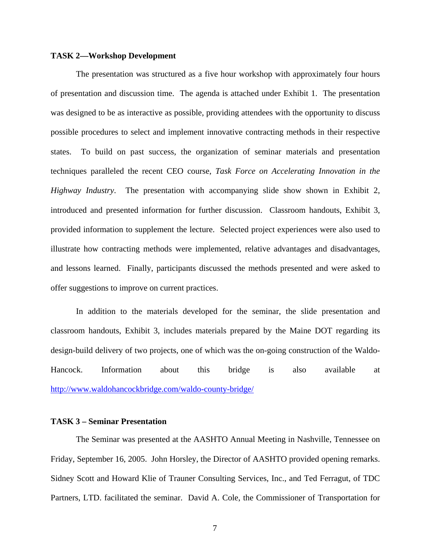#### <span id="page-10-0"></span>**TASK 2—Workshop Development**

The presentation was structured as a five hour workshop with approximately four hours of presentation and discussion time. The agenda is attached under Exhibit 1. The presentation was designed to be as interactive as possible, providing attendees with the opportunity to discuss possible procedures to select and implement innovative contracting methods in their respective states. To build on past success, the organization of seminar materials and presentation techniques paralleled the recent CEO course, *Task Force on Accelerating Innovation in the Highway Industry*. The presentation with accompanying slide show shown in Exhibit 2, introduced and presented information for further discussion. Classroom handouts, Exhibit 3, provided information to supplement the lecture. Selected project experiences were also used to illustrate how contracting methods were implemented, relative advantages and disadvantages, and lessons learned. Finally, participants discussed the methods presented and were asked to offer suggestions to improve on current practices.

In addition to the materials developed for the seminar, the slide presentation and classroom handouts, Exhibit 3, includes materials prepared by the Maine DOT regarding its design-build delivery of two projects, one of which was the on-going construction of the Waldo-Hancock. Information about this bridge is also available at <http://www.waldohancockbridge.com/waldo-county-bridge/>

#### **TASK 3 – Seminar Presentation**

The Seminar was presented at the AASHTO Annual Meeting in Nashville, Tennessee on Friday, September 16, 2005. John Horsley, the Director of AASHTO provided opening remarks. Sidney Scott and Howard Klie of Trauner Consulting Services, Inc., and Ted Ferragut, of TDC Partners, LTD. facilitated the seminar. David A. Cole, the Commissioner of Transportation for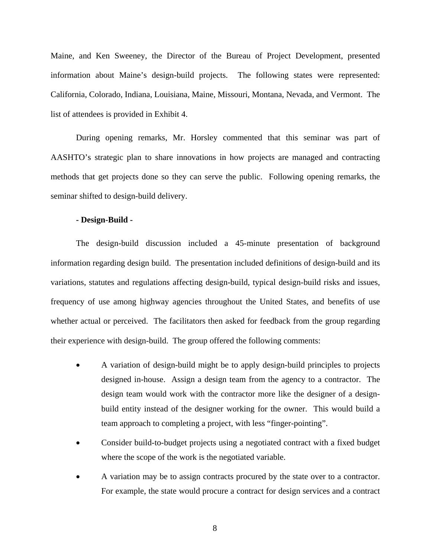<span id="page-11-0"></span>Maine, and Ken Sweeney, the Director of the Bureau of Project Development, presented information about Maine's design-build projects. The following states were represented: California, Colorado, Indiana, Louisiana, Maine, Missouri, Montana, Nevada, and Vermont. The list of attendees is provided in Exhibit 4.

During opening remarks, Mr. Horsley commented that this seminar was part of AASHTO's strategic plan to share innovations in how projects are managed and contracting methods that get projects done so they can serve the public. Following opening remarks, the seminar shifted to design-build delivery.

#### **- Design-Build -**

The design-build discussion included a 45-minute presentation of background information regarding design build. The presentation included definitions of design-build and its variations, statutes and regulations affecting design-build, typical design-build risks and issues, frequency of use among highway agencies throughout the United States, and benefits of use whether actual or perceived. The facilitators then asked for feedback from the group regarding their experience with design-build. The group offered the following comments:

- A variation of design-build might be to apply design-build principles to projects designed in-house. Assign a design team from the agency to a contractor. The design team would work with the contractor more like the designer of a designbuild entity instead of the designer working for the owner. This would build a team approach to completing a project, with less "finger-pointing".
- Consider build-to-budget projects using a negotiated contract with a fixed budget where the scope of the work is the negotiated variable.
- A variation may be to assign contracts procured by the state over to a contractor. For example, the state would procure a contract for design services and a contract
	- 8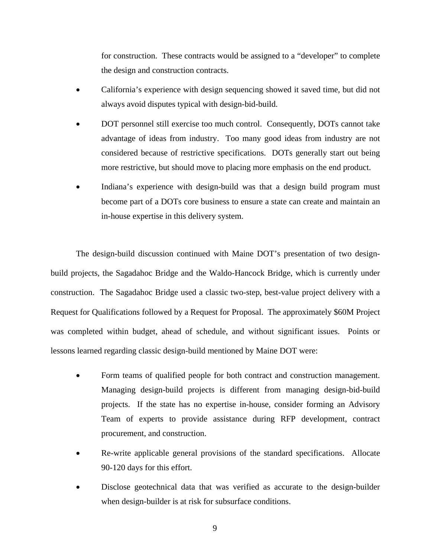for construction. These contracts would be assigned to a "developer" to complete the design and construction contracts.

- California's experience with design sequencing showed it saved time, but did not always avoid disputes typical with design-bid-build.
- DOT personnel still exercise too much control. Consequently, DOTs cannot take advantage of ideas from industry. Too many good ideas from industry are not considered because of restrictive specifications. DOTs generally start out being more restrictive, but should move to placing more emphasis on the end product.
- Indiana's experience with design-build was that a design build program must become part of a DOTs core business to ensure a state can create and maintain an in-house expertise in this delivery system.

The design-build discussion continued with Maine DOT's presentation of two designbuild projects, the Sagadahoc Bridge and the Waldo-Hancock Bridge, which is currently under construction. The Sagadahoc Bridge used a classic two-step, best-value project delivery with a Request for Qualifications followed by a Request for Proposal. The approximately \$60M Project was completed within budget, ahead of schedule, and without significant issues. Points or lessons learned regarding classic design-build mentioned by Maine DOT were:

- Form teams of qualified people for both contract and construction management. Managing design-build projects is different from managing design-bid-build projects. If the state has no expertise in-house, consider forming an Advisory Team of experts to provide assistance during RFP development, contract procurement, and construction.
- Re-write applicable general provisions of the standard specifications. Allocate 90-120 days for this effort.
- Disclose geotechnical data that was verified as accurate to the design-builder when design-builder is at risk for subsurface conditions.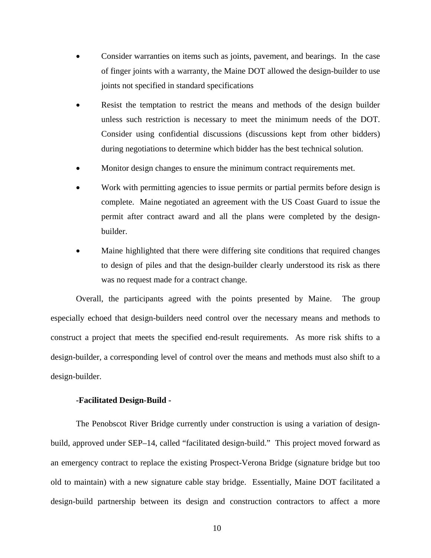- <span id="page-13-0"></span>• Consider warranties on items such as joints, pavement, and bearings. In the case of finger joints with a warranty, the Maine DOT allowed the design-builder to use joints not specified in standard specifications
- Resist the temptation to restrict the means and methods of the design builder unless such restriction is necessary to meet the minimum needs of the DOT. Consider using confidential discussions (discussions kept from other bidders) during negotiations to determine which bidder has the best technical solution.
- Monitor design changes to ensure the minimum contract requirements met.
- Work with permitting agencies to issue permits or partial permits before design is complete. Maine negotiated an agreement with the US Coast Guard to issue the permit after contract award and all the plans were completed by the designbuilder.
- Maine highlighted that there were differing site conditions that required changes to design of piles and that the design-builder clearly understood its risk as there was no request made for a contract change.

Overall, the participants agreed with the points presented by Maine. The group especially echoed that design-builders need control over the necessary means and methods to construct a project that meets the specified end-result requirements. As more risk shifts to a design-builder, a corresponding level of control over the means and methods must also shift to a design-builder.

#### **-Facilitated Design-Build -**

The Penobscot River Bridge currently under construction is using a variation of designbuild, approved under SEP–14, called "facilitated design-build." This project moved forward as an emergency contract to replace the existing Prospect-Verona Bridge (signature bridge but too old to maintain) with a new signature cable stay bridge. Essentially, Maine DOT facilitated a design-build partnership between its design and construction contractors to affect a more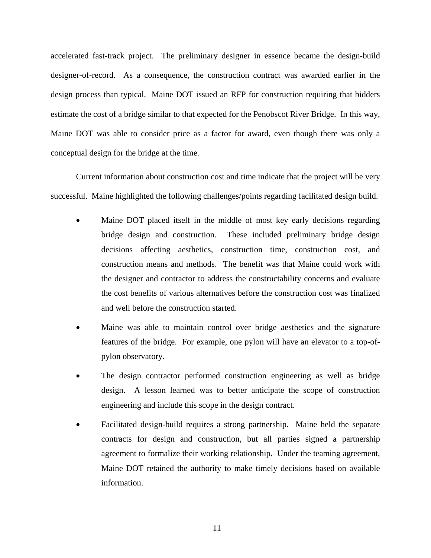accelerated fast-track project. The preliminary designer in essence became the design-build designer-of-record. As a consequence, the construction contract was awarded earlier in the design process than typical. Maine DOT issued an RFP for construction requiring that bidders estimate the cost of a bridge similar to that expected for the Penobscot River Bridge. In this way, Maine DOT was able to consider price as a factor for award, even though there was only a conceptual design for the bridge at the time.

Current information about construction cost and time indicate that the project will be very successful. Maine highlighted the following challenges/points regarding facilitated design build.

- Maine DOT placed itself in the middle of most key early decisions regarding bridge design and construction. These included preliminary bridge design decisions affecting aesthetics, construction time, construction cost, and construction means and methods. The benefit was that Maine could work with the designer and contractor to address the constructability concerns and evaluate the cost benefits of various alternatives before the construction cost was finalized and well before the construction started.
- Maine was able to maintain control over bridge aesthetics and the signature features of the bridge. For example, one pylon will have an elevator to a top-ofpylon observatory.
- The design contractor performed construction engineering as well as bridge design. A lesson learned was to better anticipate the scope of construction engineering and include this scope in the design contract.
- Facilitated design-build requires a strong partnership. Maine held the separate contracts for design and construction, but all parties signed a partnership agreement to formalize their working relationship. Under the teaming agreement, Maine DOT retained the authority to make timely decisions based on available information.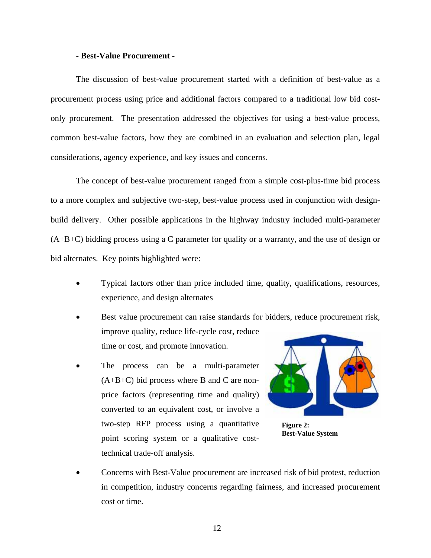#### **- Best-Value Procurement -**

<span id="page-15-0"></span>The discussion of best-value procurement started with a definition of best-value as a procurement process using price and additional factors compared to a traditional low bid costonly procurement. The presentation addressed the objectives for using a best-value process, common best-value factors, how they are combined in an evaluation and selection plan, legal considerations, agency experience, and key issues and concerns.

The concept of best-value procurement ranged from a simple cost-plus-time bid process to a more complex and subjective two-step, best-value process used in conjunction with designbuild delivery. Other possible applications in the highway industry included multi-parameter  $(A+B+C)$  bidding process using a C parameter for quality or a warranty, and the use of design or bid alternates. Key points highlighted were:

- Typical factors other than price included time, quality, qualifications, resources, experience, and design alternates
- Best value procurement can raise standards for bidders, reduce procurement risk, improve quality, reduce life-cycle cost, reduce time or cost, and promote innovation.
- The process can be a multi-parameter  $(A+B+C)$  bid process where B and C are nonprice factors (representing time and quality) converted to an equivalent cost, or involve a two-step RFP process using a quantitative point scoring system or a qualitative costtechnical trade-off analysis.



**Figure 2: Best-Value System** 

• Concerns with Best-Value procurement are increased risk of bid protest, reduction in competition, industry concerns regarding fairness, and increased procurement cost or time.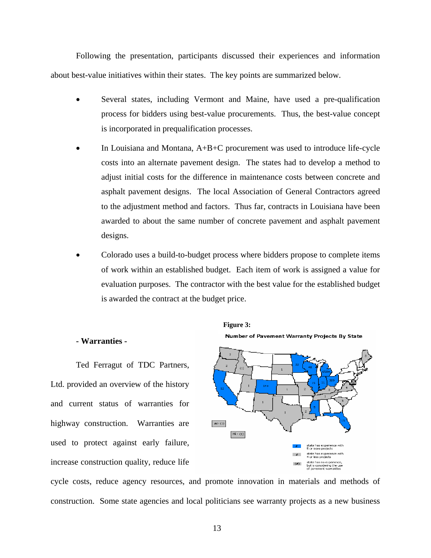<span id="page-16-0"></span>Following the presentation, participants discussed their experiences and information about best-value initiatives within their states. The key points are summarized below.

- Several states, including Vermont and Maine, have used a pre-qualification process for bidders using best-value procurements. Thus, the best-value concept is incorporated in prequalification processes.
- In Louisiana and Montana,  $A+B+C$  procurement was used to introduce life-cycle costs into an alternate pavement design. The states had to develop a method to adjust initial costs for the difference in maintenance costs between concrete and asphalt pavement designs. The local Association of General Contractors agreed to the adjustment method and factors. Thus far, contracts in Louisiana have been awarded to about the same number of concrete pavement and asphalt pavement designs.
- Colorado uses a build-to-budget process where bidders propose to complete items of work within an established budget. Each item of work is assigned a value for evaluation purposes. The contractor with the best value for the established budget is awarded the contract at the budget price.

**Figure 3:** 

#### **- Warranties -**

Ted Ferragut of TDC Partners, Ltd. provided an overview of the history and current status of warranties for highway construction. Warranties are used to protect against early failure, increase construction quality, reduce life



cycle costs, reduce agency resources, and promote innovation in materials and methods of construction. Some state agencies and local politicians see warranty projects as a new business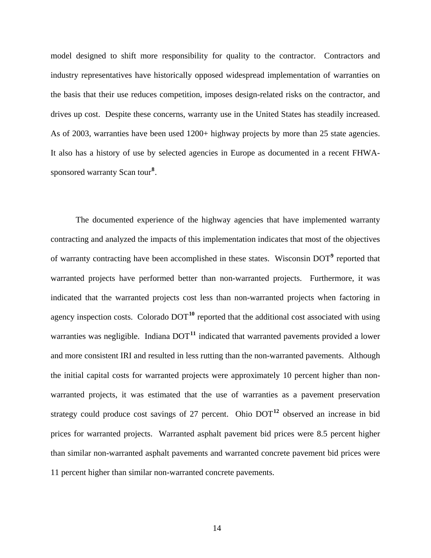model designed to shift more responsibility for quality to the contractor. Contractors and industry representatives have historically opposed widespread implementation of warranties on the basis that their use reduces competition, imposes design-related risks on the contractor, and drives up cost. Despite these concerns, warranty use in the United States has steadily increased. As of 2003, warranties have been used 1200+ highway projects by more than 25 state agencies. It also has a history of use by selected agencies in Europe as documented in a recent FHWAsponsored warranty Scan tour**[8](#page-21-2)** .

The documented experience of the highway agencies that have implemented warranty contracting and analyzed the impacts of this implementation indicates that most of the objectives of warranty contracting have been accomplished in these states. Wisconsin DOT<sup>[9](#page-21-2)</sup> reported that warranted projects have performed better than non-warranted projects. Furthermore, it was indicated that the warranted projects cost less than non-warranted projects when factoring in agency inspection costs. Colorado DOT**[10](#page-21-2)** reported that the additional cost associated with using warranties was negligible. Indiana DOT<sup>[11](#page-21-2)</sup> indicated that warranted pavements provided a lower and more consistent IRI and resulted in less rutting than the non-warranted pavements. Although the initial capital costs for warranted projects were approximately 10 percent higher than nonwarranted projects, it was estimated that the use of warranties as a pavement preservation strategy could produce cost savings of 27 percent. Ohio DOT**[12](#page-21-2)** observed an increase in bid prices for warranted projects. Warranted asphalt pavement bid prices were 8.5 percent higher than similar non-warranted asphalt pavements and warranted concrete pavement bid prices were 11 percent higher than similar non-warranted concrete pavements.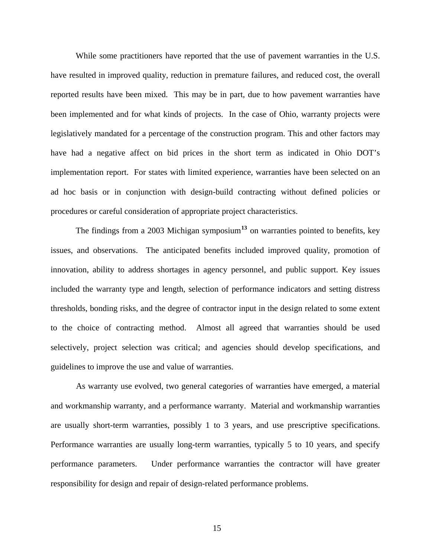While some practitioners have reported that the use of pavement warranties in the U.S. have resulted in improved quality, reduction in premature failures, and reduced cost, the overall reported results have been mixed. This may be in part, due to how pavement warranties have been implemented and for what kinds of projects. In the case of Ohio, warranty projects were legislatively mandated for a percentage of the construction program. This and other factors may have had a negative affect on bid prices in the short term as indicated in Ohio DOT's implementation report. For states with limited experience, warranties have been selected on an ad hoc basis or in conjunction with design-build contracting without defined policies or procedures or careful consideration of appropriate project characteristics.

The findings from a 2003 Michigan symposium**[13](#page-21-2)** on warranties pointed to benefits, key issues, and observations. The anticipated benefits included improved quality, promotion of innovation, ability to address shortages in agency personnel, and public support. Key issues included the warranty type and length, selection of performance indicators and setting distress thresholds, bonding risks, and the degree of contractor input in the design related to some extent to the choice of contracting method. Almost all agreed that warranties should be used selectively, project selection was critical; and agencies should develop specifications, and guidelines to improve the use and value of warranties.

As warranty use evolved, two general categories of warranties have emerged, a material and workmanship warranty, and a performance warranty. Material and workmanship warranties are usually short-term warranties, possibly 1 to 3 years, and use prescriptive specifications. Performance warranties are usually long-term warranties, typically 5 to 10 years, and specify performance parameters. Under performance warranties the contractor will have greater responsibility for design and repair of design-related performance problems.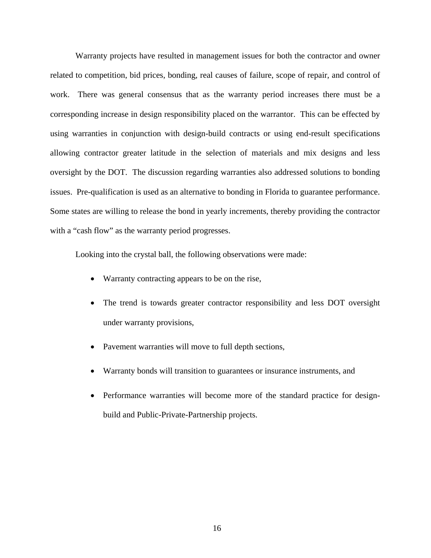Warranty projects have resulted in management issues for both the contractor and owner related to competition, bid prices, bonding, real causes of failure, scope of repair, and control of work. There was general consensus that as the warranty period increases there must be a corresponding increase in design responsibility placed on the warrantor. This can be effected by using warranties in conjunction with design-build contracts or using end-result specifications allowing contractor greater latitude in the selection of materials and mix designs and less oversight by the DOT. The discussion regarding warranties also addressed solutions to bonding issues. Pre-qualification is used as an alternative to bonding in Florida to guarantee performance. Some states are willing to release the bond in yearly increments, thereby providing the contractor with a "cash flow" as the warranty period progresses.

Looking into the crystal ball, the following observations were made:

- Warranty contracting appears to be on the rise,
- The trend is towards greater contractor responsibility and less DOT oversight under warranty provisions,
- Pavement warranties will move to full depth sections,
- Warranty bonds will transition to guarantees or insurance instruments, and
- Performance warranties will become more of the standard practice for designbuild and Public-Private-Partnership projects.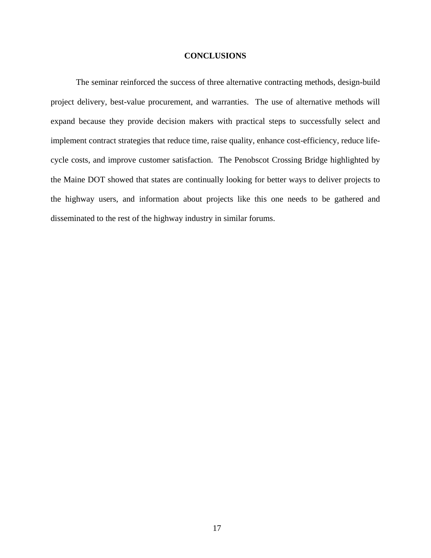#### **CONCLUSIONS**

<span id="page-20-0"></span>The seminar reinforced the success of three alternative contracting methods, design-build project delivery, best-value procurement, and warranties. The use of alternative methods will expand because they provide decision makers with practical steps to successfully select and implement contract strategies that reduce time, raise quality, enhance cost-efficiency, reduce lifecycle costs, and improve customer satisfaction. The Penobscot Crossing Bridge highlighted by the Maine DOT showed that states are continually looking for better ways to deliver projects to the highway users, and information about projects like this one needs to be gathered and disseminated to the rest of the highway industry in similar forums.